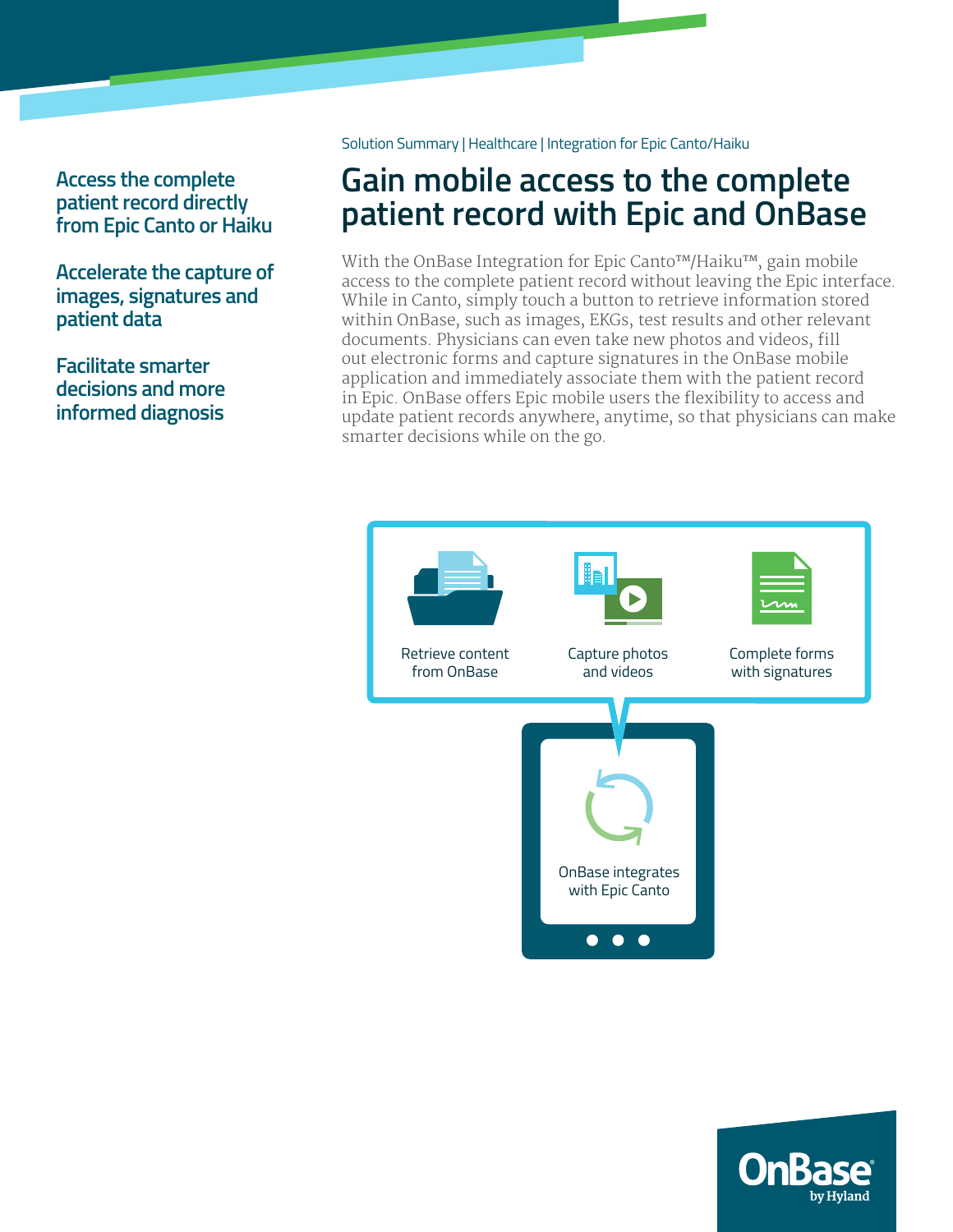# **Access the complete patient record directly from Epic Canto or Haiku**

**Accelerate the capture of images, signatures and patient data** 

**Facilitate smarter decisions and more informed diagnosis**

Solution Summary | Healthcare | Integration for Epic Canto/Haiku

# **Gain mobile access to the complete patient record with Epic and OnBase**

With the OnBase Integration for Epic Canto™/Haiku™, gain mobile access to the complete patient record without leaving the Epic interface. While in Canto, simply touch a button to retrieve information stored within OnBase, such as images, EKGs, test results and other relevant documents. Physicians can even take new photos and videos, fill out electronic forms and capture signatures in the OnBase mobile application and immediately associate them with the patient record in Epic. OnBase offers Epic mobile users the flexibility to access and update patient records anywhere, anytime, so that physicians can make smarter decisions while on the go.